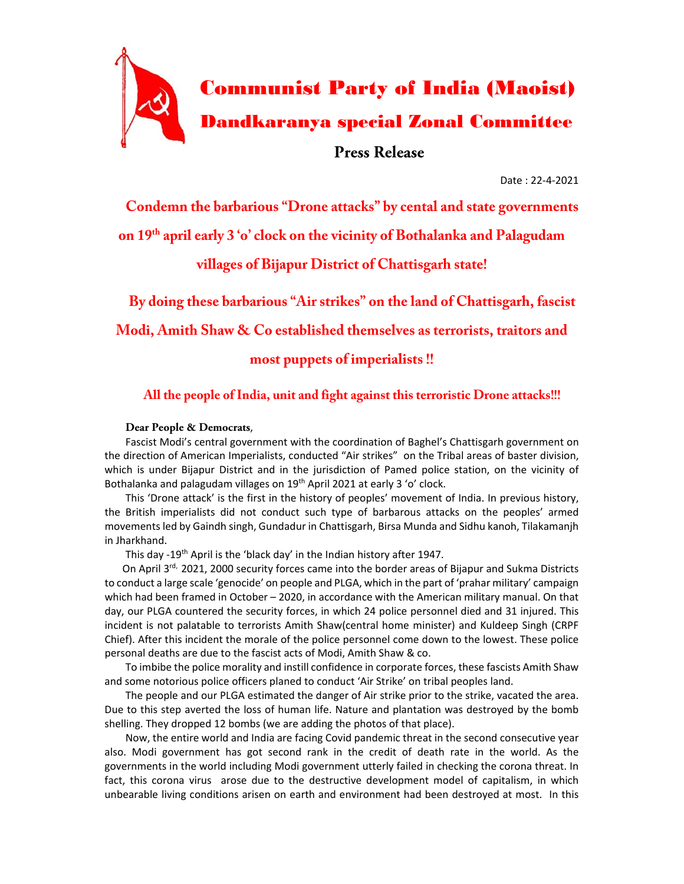

Date : 22-4-2021

**Condemn the barbarious "Drone attacks" by cental and state governments** 

**on 19th april early 3 'o' clock on the vicinity of Bothalanka and Palagudam** 

**villages of Bijapur District of Chattisgarh state!** 

**By doing these barbarious "Air strikes" on the land of Chattisgarh, fascist Modi, Amith Shaw & Co established themselves as terrorists, traitors and most puppets of imperialists !!** 

## **All the people of India, unit and fight against this terroristic Drone attacks!!!**

## **Dear People & Democrats**,

Fascist Modi's central government with the coordination of Baghel's Chattisgarh government on the direction of American Imperialists, conducted "Air strikes" on the Tribal areas of baster division, which is under Bijapur District and in the jurisdiction of Pamed police station, on the vicinity of Bothalanka and palagudam villages on 19<sup>th</sup> April 2021 at early 3 'o' clock.

This 'Drone attack' is the first in the history of peoples' movement of India. In previous history, the British imperialists did not conduct such type of barbarous attacks on the peoples' armed movements led by Gaindh singh, Gundadur in Chattisgarh, Birsa Munda and Sidhu kanoh, Tilakamanjh in Jharkhand.

This day -19<sup>th</sup> April is the 'black day' in the Indian history after 1947.

On April 3<sup>rd,</sup> 2021, 2000 security forces came into the border areas of Bijapur and Sukma Districts to conduct a large scale 'genocide' on people and PLGA, which in the part of 'prahar military' campaign which had been framed in October – 2020, in accordance with the American military manual. On that day, our PLGA countered the security forces, in which 24 police personnel died and 31 injured. This incident is not palatable to terrorists Amith Shaw(central home minister) and Kuldeep Singh (CRPF Chief). After this incident the morale of the police personnel come down to the lowest. These police personal deaths are due to the fascist acts of Modi, Amith Shaw & co.

To imbibe the police morality and instill confidence in corporate forces, these fascists Amith Shaw and some notorious police officers planed to conduct 'Air Strike' on tribal peoples land.

The people and our PLGA estimated the danger of Air strike prior to the strike, vacated the area. Due to this step averted the loss of human life. Nature and plantation was destroyed by the bomb shelling. They dropped 12 bombs (we are adding the photos of that place).

Now, the entire world and India are facing Covid pandemic threat in the second consecutive year also. Modi government has got second rank in the credit of death rate in the world. As the governments in the world including Modi government utterly failed in checking the corona threat. In fact, this corona virus arose due to the destructive development model of capitalism, in which unbearable living conditions arisen on earth and environment had been destroyed at most. In this